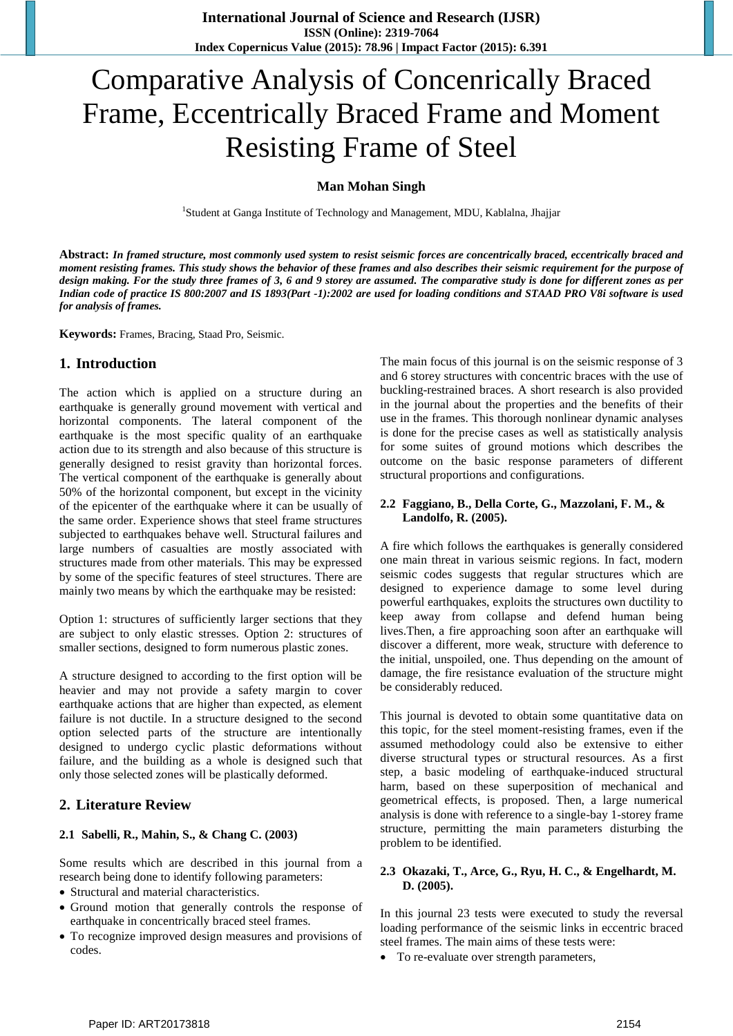# Comparative Analysis of Concenrically Braced Frame, Eccentrically Braced Frame and Moment Resisting Frame of Steel

#### **Man Mohan Singh**

<sup>1</sup>Student at Ganga Institute of Technology and Management, MDU, Kablalna, Jhajjar

**Abstract:** *In framed structure, most commonly used system to resist seismic forces are concentrically braced, eccentrically braced and moment resisting frames. This study shows the behavior of these frames and also describes their seismic requirement for the purpose of design making. For the study three frames of 3, 6 and 9 storey are assumed. The comparative study is done for different zones as per Indian code of practice IS 800:2007 and IS 1893(Part -1):2002 are used for loading conditions and STAAD PRO V8i software is used for analysis of frames.*

**Keywords:** Frames, Bracing, Staad Pro, Seismic.

## **1. Introduction**

The action which is applied on a structure during an earthquake is generally ground movement with vertical and horizontal components. The lateral component of the earthquake is the most specific quality of an earthquake action due to its strength and also because of this structure is generally designed to resist gravity than horizontal forces. The vertical component of the earthquake is generally about 50% of the horizontal component, but except in the vicinity of the epicenter of the earthquake where it can be usually of the same order. Experience shows that steel frame structures subjected to earthquakes behave well. Structural failures and large numbers of casualties are mostly associated with structures made from other materials. This may be expressed by some of the specific features of steel structures. There are mainly two means by which the earthquake may be resisted:

Option 1: structures of sufficiently larger sections that they are subject to only elastic stresses. Option 2: structures of smaller sections, designed to form numerous plastic zones.

A structure designed to according to the first option will be heavier and may not provide a safety margin to cover earthquake actions that are higher than expected, as element failure is not ductile. In a structure designed to the second option selected parts of the structure are intentionally designed to undergo cyclic plastic deformations without failure, and the building as a whole is designed such that only those selected zones will be plastically deformed.

## **2. Literature Review**

#### **2.1 Sabelli, R., Mahin, S., & Chang C. (2003)**

Some results which are described in this journal from a research being done to identify following parameters:

- Structural and material characteristics.
- Ground motion that generally controls the response of earthquake in concentrically braced steel frames.
- To recognize improved design measures and provisions of codes.

The main focus of this journal is on the seismic response of 3 and 6 storey structures with concentric braces with the use of buckling-restrained braces. A short research is also provided in the journal about the properties and the benefits of their use in the frames. This thorough nonlinear dynamic analyses is done for the precise cases as well as statistically analysis for some suites of ground motions which describes the outcome on the basic response parameters of different structural proportions and configurations.

#### **2.2 Faggiano, B., Della Corte, G., Mazzolani, F. M., & Landolfo, R. (2005).**

A fire which follows the earthquakes is generally considered one main threat in various seismic regions. In fact, modern seismic codes suggests that regular structures which are designed to experience damage to some level during powerful earthquakes, exploits the structures own ductility to keep away from collapse and defend human being lives.Then, a fire approaching soon after an earthquake will discover a different, more weak, structure with deference to the initial, unspoiled, one. Thus depending on the amount of damage, the fire resistance evaluation of the structure might be considerably reduced.

This journal is devoted to obtain some quantitative data on this topic, for the steel moment-resisting frames, even if the assumed methodology could also be extensive to either diverse structural types or structural resources. As a first step, a basic modeling of earthquake-induced structural harm, based on these superposition of mechanical and geometrical effects, is proposed. Then, a large numerical analysis is done with reference to a single-bay 1-storey frame structure, permitting the main parameters disturbing the problem to be identified.

#### **2.3 Okazaki, T., Arce, G., Ryu, H. C., & Engelhardt, M. D. (2005).**

In this journal 23 tests were executed to study the reversal loading performance of the seismic links in eccentric braced steel frames. The main aims of these tests were:

To re-evaluate over strength parameters,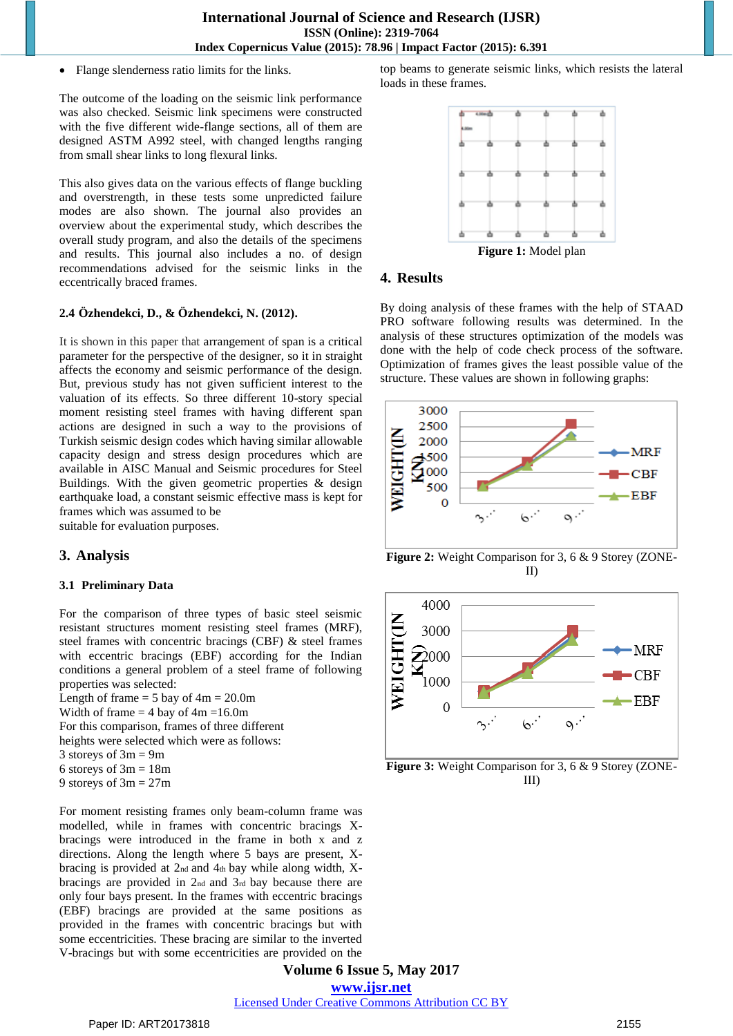Flange slenderness ratio limits for the links.

The outcome of the loading on the seismic link performance was also checked. Seismic link specimens were constructed with the five different wide-flange sections, all of them are designed ASTM A992 steel, with changed lengths ranging from small shear links to long flexural links.

This also gives data on the various effects of flange buckling and overstrength, in these tests some unpredicted failure modes are also shown. The journal also provides an overview about the experimental study, which describes the overall study program, and also the details of the specimens and results. This journal also includes a no. of design recommendations advised for the seismic links in the eccentrically braced frames.

#### **2.4 Özhendekci, D., & Özhendekci, N. (2012).**

It is shown in this paper that arrangement of span is a critical parameter for the perspective of the designer, so it in straight affects the economy and seismic performance of the design. But, previous study has not given sufficient interest to the valuation of its effects. So three different 10-story special moment resisting steel frames with having different span actions are designed in such a way to the provisions of Turkish seismic design codes which having similar allowable capacity design and stress design procedures which are available in AISC Manual and Seismic procedures for Steel Buildings. With the given geometric properties & design earthquake load, a constant seismic effective mass is kept for frames which was assumed to be

suitable for evaluation purposes.

## **3. Analysis**

#### **3.1 Preliminary Data**

For the comparison of three types of basic steel seismic resistant structures moment resisting steel frames (MRF), steel frames with concentric bracings (CBF) & steel frames with eccentric bracings (EBF) according for the Indian conditions a general problem of a steel frame of following properties was selected:

Length of frame  $= 5$  bay of  $4m = 20.0m$ Width of frame  $= 4$  bay of  $4m = 16.0m$ For this comparison, frames of three different heights were selected which were as follows: 3 storeys of 3m = 9m 6 storeys of  $3m = 18m$ 

9 storeys of 3m = 27m

For moment resisting frames only beam-column frame was modelled, while in frames with concentric bracings Xbracings were introduced in the frame in both x and z directions. Along the length where 5 bays are present, Xbracing is provided at 2nd and 4th bay while along width, Xbracings are provided in 2nd and 3rd bay because there are only four bays present. In the frames with eccentric bracings (EBF) bracings are provided at the same positions as provided in the frames with concentric bracings but with some eccentricities. These bracing are similar to the inverted V-bracings but with some eccentricities are provided on the

top beams to generate seismic links, which resists the lateral loads in these frames.



**Figure 1:** Model plan

## **4. Results**

By doing analysis of these frames with the help of STAAD PRO software following results was determined. In the analysis of these structures optimization of the models was done with the help of code check process of the software. Optimization of frames gives the least possible value of the structure. These values are shown in following graphs:



**Figure 2:** Weight Comparison for 3, 6 & 9 Storey (ZONE-II)



Figure 3: Weight Comparison for 3, 6 & 9 Storey (ZONE-III)

**Volume 6 Issue 5, May 2017 www.ijsr.net** Licensed Under Creative Commons Attribution CC BY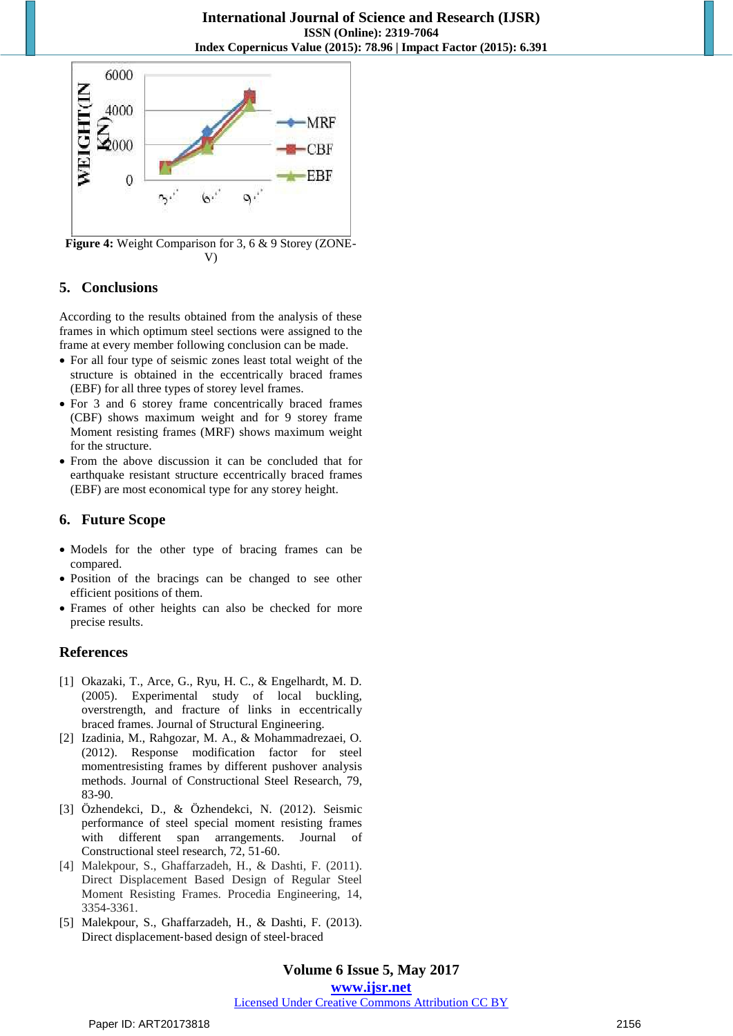

**Figure 4:** Weight Comparison for 3, 6 & 9 Storey (ZONE-V)

# **5. Conclusions**

According to the results obtained from the analysis of these frames in which optimum steel sections were assigned to the frame at every member following conclusion can be made.

- For all four type of seismic zones least total weight of the structure is obtained in the eccentrically braced frames (EBF) for all three types of storey level frames.
- For 3 and 6 storey frame concentrically braced frames (CBF) shows maximum weight and for 9 storey frame Moment resisting frames (MRF) shows maximum weight for the structure.
- From the above discussion it can be concluded that for earthquake resistant structure eccentrically braced frames (EBF) are most economical type for any storey height.

# **6. Future Scope**

- Models for the other type of bracing frames can be compared.
- Position of the bracings can be changed to see other efficient positions of them.
- Frames of other heights can also be checked for more precise results.

# **References**

- [1] Okazaki, T., Arce, G., Ryu, H. C., & Engelhardt, M. D. (2005). Experimental study of local buckling, overstrength, and fracture of links in eccentrically braced frames. Journal of Structural Engineering.
- [2] Izadinia, M., Rahgozar, M. A., & Mohammadrezaei, O. (2012). Response modification factor for steel momentresisting frames by different pushover analysis methods. Journal of Constructional Steel Research, 79, 83-90.
- [3] Özhendekci, D., & Özhendekci, N. (2012). Seismic performance of steel special moment resisting frames with different span arrangements. Journal of Constructional steel research, 72, 51-60.
- [4] Malekpour, S., Ghaffarzadeh, H., & Dashti, F. (2011). Direct Displacement Based Design of Regular Steel Moment Resisting Frames. Procedia Engineering, 14, 3354-3361.
- [5] Malekpour, S., Ghaffarzadeh, H., & Dashti, F. (2013). Direct displacement‐based design of steel‐braced